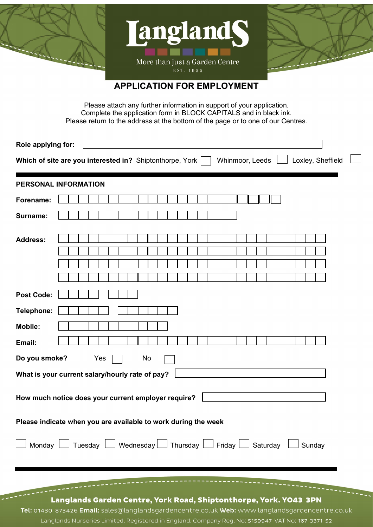





# **APPLICATION FOR EMPLOYMENT**

Please attach any further information in support of your application. Complete the application form in BLOCK CAPITALS and in black ink. Please return to the address at the bottom of the page or to one of our Centres.

| Role applying for:                                                                                 |                                                                   |  |  |  |  |  |
|----------------------------------------------------------------------------------------------------|-------------------------------------------------------------------|--|--|--|--|--|
| Whinmoor, Leeds<br>Which of site are you interested in? Shiptonthorpe, York<br>Loxley, Sheffield   |                                                                   |  |  |  |  |  |
| PERSONAL INFORMATION                                                                               |                                                                   |  |  |  |  |  |
| Forename:                                                                                          |                                                                   |  |  |  |  |  |
| Surname:                                                                                           |                                                                   |  |  |  |  |  |
| <b>Address:</b>                                                                                    |                                                                   |  |  |  |  |  |
| <b>Post Code:</b>                                                                                  |                                                                   |  |  |  |  |  |
| Telephone:                                                                                         |                                                                   |  |  |  |  |  |
| <b>Mobile:</b>                                                                                     |                                                                   |  |  |  |  |  |
| Email:                                                                                             |                                                                   |  |  |  |  |  |
| Do you smoke?<br>Yes<br>No                                                                         |                                                                   |  |  |  |  |  |
| What is your current salary/hourly rate of pay?                                                    |                                                                   |  |  |  |  |  |
| How much notice does your current employer require?                                                |                                                                   |  |  |  |  |  |
| Please indicate when you are available to work during the week                                     |                                                                   |  |  |  |  |  |
| Monday $\Box$ Tuesday $\Box$ Wednesday $\Box$ Thursday $\Box$ Friday $\Box$ Saturday $\Box$ Sunday |                                                                   |  |  |  |  |  |
|                                                                                                    |                                                                   |  |  |  |  |  |
|                                                                                                    | Langlands Garden Centre, York Road, Shiptonthorpe, York. YO43 3PN |  |  |  |  |  |

Tel: 01430 873426 Email: sales@langlandsgardencentre.co.uk Web: www.langlandsgardencentre.co.uk Langlands Nurseries Limited. Registered in England. Company Reg. No: 5159947 VAT No: 167 3371 52